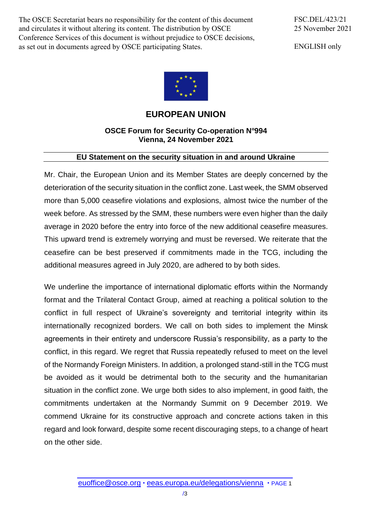The OSCE Secretariat bears no responsibility for the content of this document and circulates it without altering its content. The distribution by OSCE Conference Services of this document is without prejudice to OSCE decisions, as set out in documents agreed by OSCE participating States.

FSC.DEL/423/21 25 November 2021

ENGLISH only



## **EUROPEAN UNION**

## **OSCE Forum for Security Co-operation N°994 Vienna, 24 November 2021**

## **EU Statement on the security situation in and around Ukraine**

Mr. Chair, the European Union and its Member States are deeply concerned by the deterioration of the security situation in the conflict zone. Last week, the SMM observed more than 5,000 ceasefire violations and explosions, almost twice the number of the week before. As stressed by the SMM, these numbers were even higher than the daily average in 2020 before the entry into force of the new additional ceasefire measures. This upward trend is extremely worrying and must be reversed. We reiterate that the ceasefire can be best preserved if commitments made in the TCG, including the additional measures agreed in July 2020, are adhered to by both sides.

We underline the importance of international diplomatic efforts within the Normandy format and the Trilateral Contact Group, aimed at reaching a political solution to the conflict in full respect of Ukraine's sovereignty and territorial integrity within its internationally recognized borders. We call on both sides to implement the Minsk agreements in their entirety and underscore Russia's responsibility, as a party to the conflict, in this regard. We regret that Russia repeatedly refused to meet on the level of the Normandy Foreign Ministers. In addition, a prolonged stand-still in the TCG must be avoided as it would be detrimental both to the security and the humanitarian situation in the conflict zone. We urge both sides to also implement, in good faith, the commitments undertaken at the Normandy Summit on 9 December 2019. We commend Ukraine for its constructive approach and concrete actions taken in this regard and look forward, despite some recent discouraging steps, to a change of heart on the other side.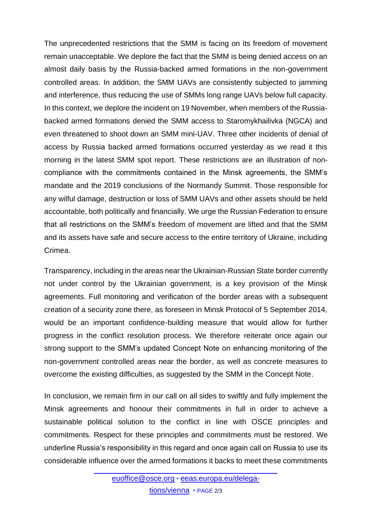The unprecedented restrictions that the SMM is facing on its freedom of movement remain unacceptable. We deplore the fact that the SMM is being denied access on an almost daily basis by the Russia-backed armed formations in the non-government controlled areas. In addition, the SMM UAVs are consistently subjected to jamming and interference, thus reducing the use of SMMs long range UAVs below full capacity. In this context, we deplore the incident on 19 November, when members of the Russiabacked armed formations denied the SMM access to Staromykhailivka (NGCA) and even threatened to shoot down an SMM mini-UAV. Three other incidents of denial of access by Russia backed armed formations occurred yesterday as we read it this morning in the latest SMM spot report. These restrictions are an illustration of noncompliance with the commitments contained in the Minsk agreements, the SMM's mandate and the 2019 conclusions of the Normandy Summit. Those responsible for any wilful damage, destruction or loss of SMM UAVs and other assets should be held accountable, both politically and financially. We urge the Russian Federation to ensure that all restrictions on the SMM's freedom of movement are lifted and that the SMM and its assets have safe and secure access to the entire territory of Ukraine, including Crimea.

Transparency, including in the areas near the Ukrainian-Russian State border currently not under control by the Ukrainian government, is a key provision of the Minsk agreements. Full monitoring and verification of the border areas with a subsequent creation of a security zone there, as foreseen in Minsk Protocol of 5 September 2014, would be an important confidence-building measure that would allow for further progress in the conflict resolution process. We therefore reiterate once again our strong support to the SMM's updated Concept Note on enhancing monitoring of the non-government controlled areas near the border, as well as concrete measures to overcome the existing difficulties, as suggested by the SMM in the Concept Note.

In conclusion, we remain firm in our call on all sides to swiftly and fully implement the Minsk agreements and honour their commitments in full in order to achieve a sustainable political solution to the conflict in line with OSCE principles and commitments. Respect for these principles and commitments must be restored. We underline Russia's responsibility in this regard and once again call on Russia to use its considerable influence over the armed formations it backs to meet these commitments